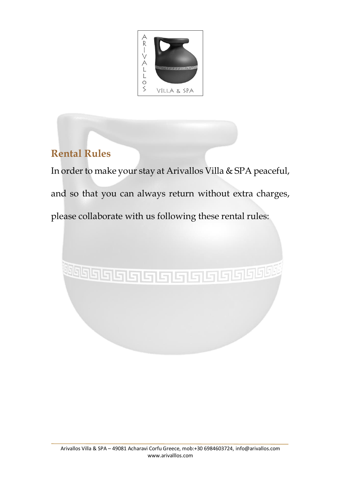

# **Rental Rules**

In order to make your stay at Arivallos Villa & SPA peaceful, and so that you can always return without extra charges, please collaborate with us following these rental rules:

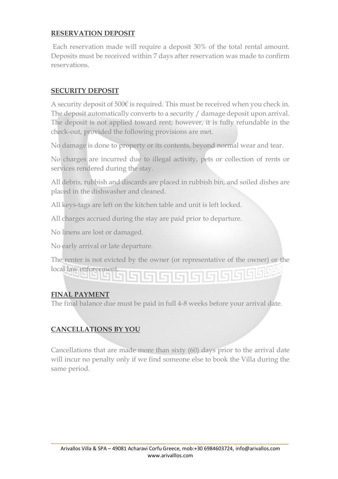### **RESERVATION DEPOSIT**

Each reservation made will require a deposit 30% of the total rental amount. Deposits must be received within 7 days after reservation was made to confirm reservations.

### **SECURITY DEPOSIT**

A security deposit of 500€ is required. This must be received when you check in. The deposit automatically converts to a security / damage deposit upon arrival. The deposit is not applied toward rent; however, it is fully refundable in the check-out, provided the following provisions are met.

No damage is done to property or its contents, beyond normal wear and tear.

No charges are incurred due to illegal activity, pets or collection of rents or services rendered during the stay.

All debris, rubbish and discards are placed in rubbish bin, and soiled dishes are placed in the dishwasher and cleaned.

All keys-tags are left on the kitchen table and unit is left locked.

All charges accrued during the stay are paid prior to departure.

No linens are lost or damaged.

No early arrival or late departure.

The renter is not evicted by the owner (or representative of the owner) or the

بالالالا واحاط واحاكا

#### **FINAL PAYMENT**

local law enforcement.

The final balance due must be paid in full 4-8 weeks before your arrival date.

# **CANCELLATIONS BY YOU**

Cancellations that are made more than sixty (60) days prior to the arrival date will incur no penalty only if we find someone else to book the Villa during the same period.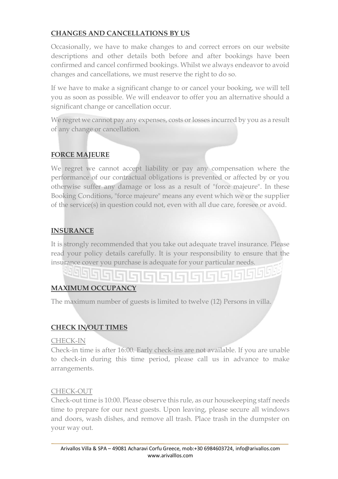### **CHANGES AND CANCELLATIONS BY US**

Occasionally, we have to make changes to and correct errors on our website descriptions and other details both before and after bookings have been confirmed and cancel confirmed bookings. Whilst we always endeavor to avoid changes and cancellations, we must reserve the right to do so.

If we have to make a significant change to or cancel your booking, we will tell you as soon as possible. We will endeavor to offer you an alternative should a significant change or cancellation occur.

We regret we cannot pay any expenses, costs or losses incurred by you as a result of any change or cancellation.

### **FORCE MAJEURE**

We regret we cannot accept liability or pay any compensation where the performance of our contractual obligations is prevented or affected by or you otherwise suffer any damage or loss as a result of "force majeure". In these Booking Conditions, "force majeure" means any event which we or the supplier of the service(s) in question could not, even with all due care, foresee or avoid.

### **INSURANCE**

It is strongly recommended that you take out adequate travel insurance. Please read your policy details carefully. It is your responsibility to ensure that the insurance cover you purchase is adequate for your particular needs.

# **MAXIMUM OCCUPANCY**

The maximum number of guests is limited to twelve (12) Persons in villa.

15 S G

#### **CHECK IN/OUT TIMES**

CHECK-IN

Check-in time is after 16:00. Early check-ins are not available. If you are unable to check-in during this time period, please call us in advance to make arrangements.

#### CHECK-OUT

Check-out time is 10:00. Please observe this rule, as our housekeeping staff needs time to prepare for our next guests. Upon leaving, please secure all windows and doors, wash dishes, and remove all trash. Place trash in the dumpster on your way out.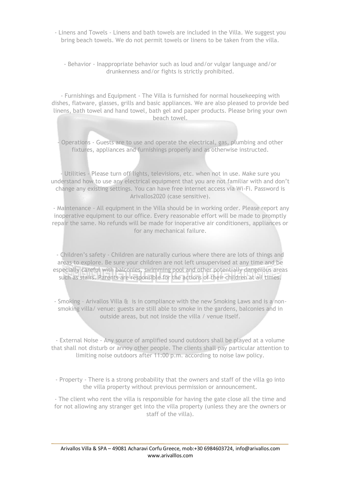- Linens and Towels Linens and bath towels are included in the Villa. We suggest you bring beach towels. We do not permit towels or linens to be taken from the villa.
	- Behavior Inappropriate behavior such as loud and/or vulgar language and/or drunkenness and/or fights is strictly prohibited.

- Furnishings and Equipment - The Villa is furnished for normal housekeeping with dishes, flatware, glasses, grills and basic appliances. We are also pleased to provide bed linens, bath towel and hand towel, bath gel and paper products. Please bring your own beach towel.

- Operations - Guests are to use and operate the electrical, gas, plumbing and other fixtures, appliances and furnishings properly and as otherwise instructed.

- Utilities - Please turn off lights, televisions, etc. when not in use. Make sure you understand how to use any electrical equipment that you are not familiar with and don't change any existing settings. You can have free internet access via Wi-Fi. Password is Arivallos2020 (case sensitive).

- Maintenance - All equipment in the Villa should be in working order. Please report any inoperative equipment to our office. Every reasonable effort will be made to promptly repair the same. No refunds will be made for inoperative air conditioners, appliances or for any mechanical failure.

- Children's safety - Children are naturally curious where there are lots of things and areas to explore. Be sure your children are not left unsupervised at any time and be especially careful with balconies, swimming pool and other potentially dangerous areas such as stairs. Parents are responsible for the actions of their children at all times.

- Smoking – Arivallos Villa & is in compliance with the new Smoking Laws and is a nonsmoking villa/ venue: guests are still able to smoke in the gardens, balconies and in outside areas, but not inside the villa / venue itself.

- External Noise - Any source of amplified sound outdoors shall be played at a volume that shall not disturb or annoy other people. The clients shall pay particular attention to limiting noise outdoors after 11:00 p.m. according to noise law policy.

- Property - There is a strong probability that the owners and staff of the villa go into the villa property without previous permission or announcement.

- The client who rent the villa is responsible for having the gate close all the time and for not allowing any stranger get into the villa property (unless they are the owners or staff of the villa).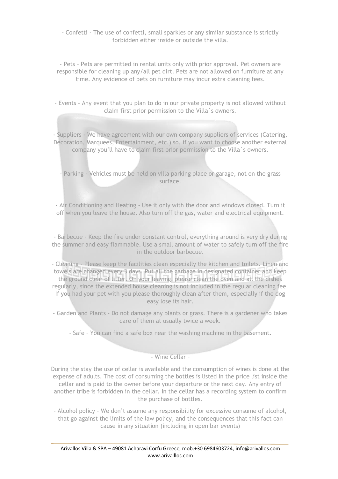- Confetti - The use of confetti, small sparkles or any similar substance is strictly forbidden either inside or outside the villa.

- Pets – Pets are permitted in rental units only with prior approval. Pet owners are responsible for cleaning up any/all pet dirt. Pets are not allowed on furniture at any time. Any evidence of pets on furniture may incur extra cleaning fees.

- Events - Any event that you plan to do in our private property is not allowed without claim first prior permission to the Villa´s owners.

- Suppliers - We have agreement with our own company suppliers of services (Catering, Decoration, Marquees, Entertainment, etc.) so, if you want to choose another external company you'll have to claim first prior permission to the Villa´s owners.

- Parking - Vehicles must be held on villa parking place or garage, not on the grass surface.

- Air Conditioning and Heating - Use it only with the door and windows closed. Turn it off when you leave the house. Also turn off the gas, water and electrical equipment.

- Barbecue - Keep the fire under constant control, everything around is very dry during the summer and easy flammable. Use a small amount of water to safely turn off the fire in the outdoor barbecue.

- Cleaning - Please keep the facilities clean especially the kitchen and toilets. Linen and towels are changed every 3 days. Put all the garbage in designated container and keep the ground clear of litter. On your leaving, please clean the oven and all the dishes regularly, since the extended house cleaning is not included in the regular cleaning fee. If you had your pet with you please thoroughly clean after them, especially if the dog easy lose its hair.

- Garden and Plants - Do not damage any plants or grass. There is a gardener who takes care of them at usually twice a week.

- Safe – You can find a safe box near the washing machine in the basement.

- Wine Cellar –

During the stay the use of cellar is available and the consumption of wines is done at the expense of adults. The cost of consuming the bottles is listed in the price list inside the cellar and is paid to the owner before your departure or the next day. Any entry of another tribe is forbidden in the cellar. In the cellar has a recording system to confirm the purchase of bottles.

- Alcohol policy - We don't assume any responsibility for excessive consume of alcohol, that go against the limits of the law policy, and the consequences that this fact can cause in any situation (including in open bar events)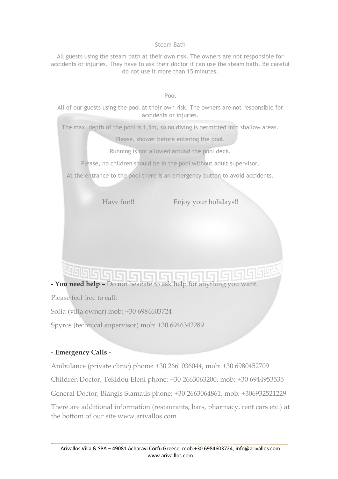- Steam Bath –

All guests using the steam bath at their own risk. The owners are not responsible for accidents or injuries. They have to ask their doctor if can use the steam bath. Be careful do not use it more than 15 minutes.

- Pool –

All of our guests using the pool at their own risk. The owners are not responsible for accidents or injuries.

The max. depth of the pool is 1,5m, so no diving is permitted into shallow areas.

Please, shower before entering the pool.

Running is not allowed around the pool deck.

Please, no children should be in the pool without adult supervisor.

At the entrance to the pool there is an emergency button to avoid accidents.

Have fun!! Enjoy your holidays!!

# <u> Telstals is </u> **- You need help –** Do not hesitate to ask help for anything you want.

Please feel free to call:

Sofia (villa owner) mob: +30 6984603724

Spyros (technical supervisor) mob: +30 6946342289

#### **- Emergency Calls -**

Ambulance (private clinic) phone: +30 2661036044, mob: +30 6980452709

Children Doctor, Tekidou Eleni phone: +30 2663063200, mob: +30 6944953535

General Doctor, Biangis Stamatis phone: +30 2663064861, mob: +306932521229

There are additional information (restaurants, bars, pharmacy, rent cars etc.) at the bottom of our site www arivallos com